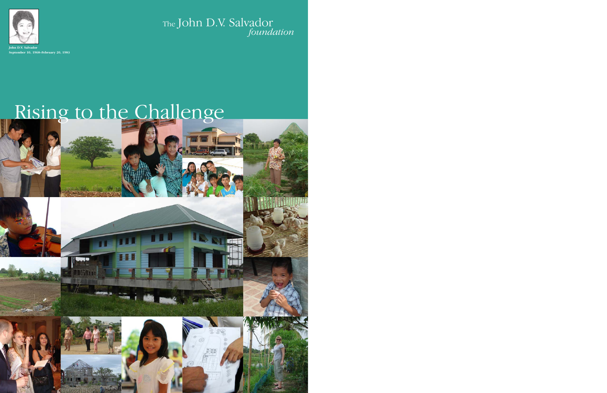

**September 10, 1968–February 20, 1983**

# The John D.V. Salvador *foundation*

# Rising to the Challenge

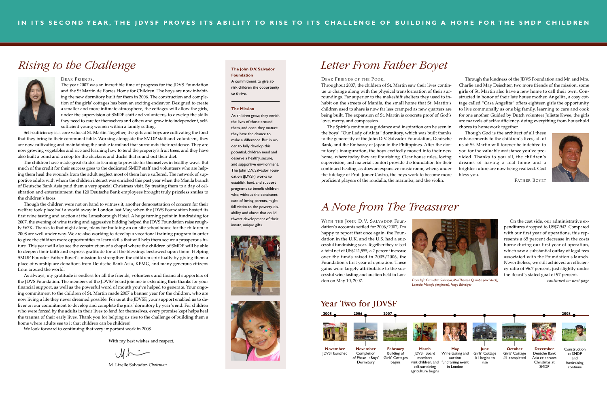WITH THE JOHN D.V. SALVADOR Foundation's accounts settled for 2006/2007, I'm happy to report that once again, the Foundation in the U.K. and the U.S. had a successful fundraising year. Together they raised a total net of US\$241,955, a 2 percent increase over the funds raised in 2005/2006, the Foundation's first year of operation. These gains were largely attributable to the successful wine tasting and auction held in London on May 10, 2007.

On the cost side, our administrative expenditures dropped to US\$7,943. Compared with our first year of operations, this represents a 65 percent decrease in the costs borne during our first year of operation, which saw a substantial outlay of legal fees associated with the Foundation's launch. Nevertheless, we still achieved an efficiency ratio of 96.7 percent, just slightly under the Board's stated goal of 97 percent.

The year 2007 was an incredible time of progress for the JDVS Foundation and the St Martin de Porres Home for Children. The boys are now inhabiting the new dormitory built for them in 2006. The construction and completion of the girls' cottages has been an exciting endeavor. Designed to create a smaller and more intimate atmosphere, the cottages will allow the girls, under the supervision of SMDP staff and volunteers, to develop the skills they need to care for themselves and others and grow into independent, selfsufficient young women within a family setting.

Self-sufficiency is a core value at St. Martin. Together, the girls and boys are cultivating the food that they bring to their communal table. Working alongside the SMDP staff and volunteers, they are now cultivating and maintaining the arable farmland that surrounds their residence. They are now growing vegetables and rice and learning how to tend the property's fruit trees, and they have also built a pond and a coop for the chickens and ducks that round out their diet.

The children have made great strides in learning to provide for themselves in healthy ways. But much of the credit for their success goes to the dedicated SMDP staff and volunteers who are helping them heal the wounds from the adult neglect most of them have suffered. The network of supportive adults with whom the children interact was enriched this past year when the Manila branch of Deutsche Bank Asia paid them a very special Christmas visit. By treating them to a day of celebration and entertainment, the 120 Deutsche Bank employees brought truly priceless smiles to the children's faces.

Though the children were not on hand to witness it, another demonstration of concern for their welfare took place half a world away in London last May, when the JDVS Foundation hosted its first wine tasting and auction at the Lanesborough Hotel. A huge turning point in fundraising for 2007, the evening of wine tasting and aggressive bidding helped the JDVS Foundation raise roughly £67K. Thanks to that night alone, plans for building an on-site schoolhouse for the children in 2008 are well under way. We are also working to develop a vocational training program in order to give the children more opportunities to learn skills that will help them secure a prosperous future. This year will also see the construction of a chapel where the children of SMDP will be able to deepen their faith and express gratitude for all the blessings bestowed upon them. Helping SMDP Founder Father Boyet's mission to strengthen the children spiritually by giving them a place of worship are donations from Deutsche Bank Asia, KPMG, and many generous citizens from around the world.

As always, my gratitude is endless for all the friends, volunteers and financial supporters of the JDVS Foundation. The members of the JDVSF board join me in extending their thanks for your financial support, as well as the powerful word of mouth you've helped to generate. Your ongoing commitment to the children of St. Martin made 2007 a banner year for the children, who are now living a life they never dreamed possible. For us at the JDVSF, your support enabled us to deliver on our commitment to develop and complete the girls' dormitory by year's end. For children who were forced by the adults in their lives to fend for themselves, every promise kept helps heal the trauma of their early lives. Thank you for helping us rise to the challenge of building them a home where adults see to it that children can be children!

We look forward to continuing that very important work in 2008.

With my best wishes and respect,

 $U \wedge$ 

M. Lizelle Salvador, *Chairman*

## *Rising to the Challenge* **The John D.V. Salvador**

![](_page_1_Picture_2.jpeg)

#### DEAR FRIENDS,

### **Foundation**

A commitment to give atrisk children the opportunity to thrive.

### **The Mission**

As children grow, they enrich the lives of those around them, and once they mature they have the chance to make a difference. But in order to fully develop this potential, children need and deserve a healthy, secure, and supportive environment. The John D.V. Salvador Foundation (JDVSF) works to establish, fund, and support programs to benefit children who, without the consistent care of loving parents, might fall victim to the poverty, disability, and abuse that could thwart development of their innate, unique gifts.

![](_page_1_Picture_17.jpeg)

![](_page_1_Picture_18.jpeg)

![](_page_1_Picture_20.jpeg)

### *A Note from The Treasurer*

**November** Completion of Phase 1: Boys' **November** JDVSF launched

Year Two for JDVSF

**Dormitory** 

![](_page_1_Figure_30.jpeg)

**February**

begins

Building of Girls' Cottages **March** JDVSF Board members visit children, and self-sustaining

agriculture begins

![](_page_1_Picture_39.jpeg)

![](_page_1_Picture_27.jpeg)

*From left: Carmelita Salvador, Mia Theresa Quimpo (architect), continued on next page Leoncia Maneja (engineer), Hugo Bänziger*

### DEAR FRIENDS OF THE POOR,

Throughout 2007, the children of St. Martin saw their lives continue to change along with the physical transformation of their surroundings. Far superior to the makeshift shelters they used to inhabit on the streets of Manila, the small home that St. Martin's children used to share is now far less cramped as new quarters are being built. The expansion of St. Martin is concrete proof of God's love, mercy, and compassion.

The Spirit's continuous guidance and inspiration can be seen in the boys' "Our Lady of Akita" dormitory, which was built thanks to the generosity of the John D.V. Salvador Foundation, Deutsche Bank, and the Embassy of Japan in the Philippines. After the dormitory's inauguration, the boys excitedly moved into their new home, where today they are flourishing. Clear house rules, loving supervision, and material comfort provide the foundation for their continued healing, as does an expansive music room, where, under the tutelage of Prof. Jomer Castro, the boys work to become more proficient players of the rondalla, the marimba, and the violin. chores to homework together. Though God is the architect of all these enhancements to the children's lives, all of us at St. Martin will forever be indebted to you for the valuable assistance you've provided. Thanks to you all, the children's dreams of having a real home and a brighter future are now being realized. God bless you. FATHER BOYET

Through the kindness of the JDVS Foundation and Mr. and Mrs. Charlie and May Deischter, two more friends of the mission, some girls of St. Martin also have a new home to call their own. Constructed in honor of their late house mother, Angelita, a cosy cottage called "Casa Angelita" offers eighteen girls the opportunity to live communally as one big family, learning to care and cook for one another. Guided by Dutch volunteer Juliette Kwee, the girls are marvels of self-sufficiency, doing everything from household

![](_page_1_Picture_35.jpeg)

## *Letter From Father Boyet*